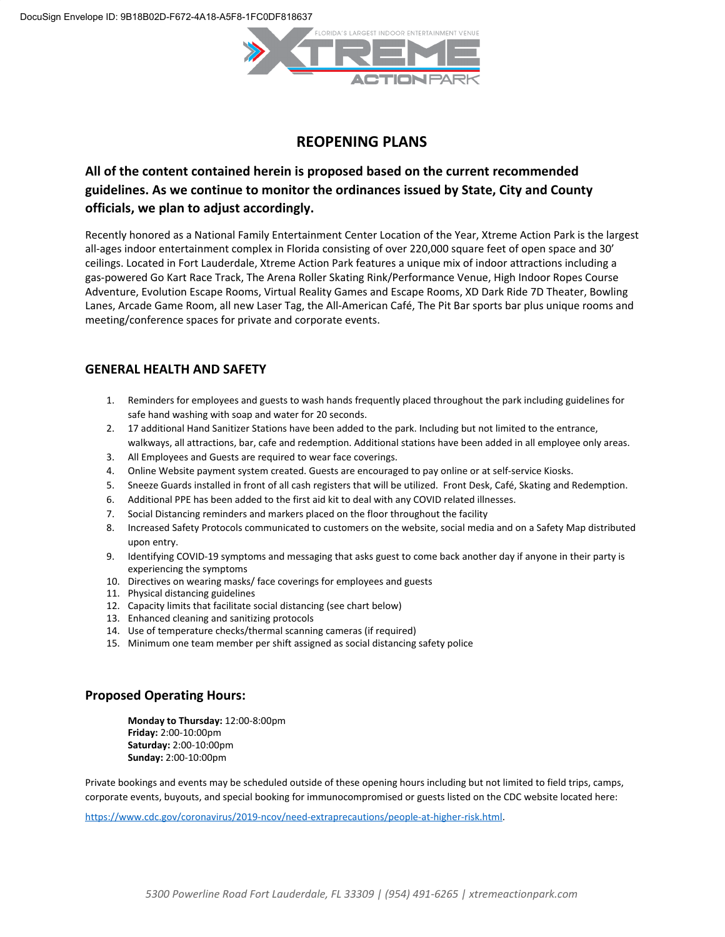

# **REOPENING PLANS**

# **All of the content contained herein is proposed based on the current recommended guidelines. As we continue to monitor the ordinances issued by State, City and County officials, we plan to adjust accordingly.**

Recently honored as a National Family Entertainment Center Location of the Year, Xtreme Action Park is the largest all-ages indoor entertainment complex in Florida consisting of over 220,000 square feet of open space and 30' ceilings. Located in Fort Lauderdale, Xtreme Action Park features a unique mix of indoor attractions including a gas-powered Go Kart Race Track, The Arena Roller Skating Rink/Performance Venue, High Indoor Ropes Course Adventure, Evolution Escape Rooms, Virtual Reality Games and Escape Rooms, XD Dark Ride 7D Theater, Bowling Lanes, Arcade Game Room, all new Laser Tag, the All-American Café, The Pit Bar sports bar plus unique rooms and meeting/conference spaces for private and corporate events.

#### **GENERAL HEALTH AND SAFETY**

- 1. Reminders for employees and guests to wash hands frequently placed throughout the park including guidelines for safe hand washing with soap and water for 20 seconds.
- 2. 17 additional Hand Sanitizer Stations have been added to the park. Including but not limited to the entrance, walkways, all attractions, bar, cafe and redemption. Additional stations have been added in all employee only areas.
- 3. All Employees and Guests are required to wear face coverings.
- 4. Online Website payment system created. Guests are encouraged to pay online or at self-service Kiosks.
- 5. Sneeze Guards installed in front of all cash registers that will be utilized. Front Desk, Café, Skating and Redemption.
- 6. Additional PPE has been added to the first aid kit to deal with any COVID related illnesses.
- 7. Social Distancing reminders and markers placed on the floor throughout the facility
- 8. Increased Safety Protocols communicated to customers on the website, social media and on a Safety Map distributed upon entry.
- 9. Identifying COVID-19 symptoms and messaging that asks guest to come back another day if anyone in their party is experiencing the symptoms
- 10. Directives on wearing masks/ face coverings for employees and guests
- 11. Physical distancing guidelines
- 12. Capacity limits that facilitate social distancing (see chart below)
- 13. Enhanced cleaning and sanitizing protocols
- 14. Use of temperature checks/thermal scanning cameras (if required)
- 15. Minimum one team member per shift assigned as social distancing safety police

#### **Proposed Operating Hours:**

**Monday to Thursday:** 12:00-8:00pm **Friday:** 2:00-10:00pm **Saturday:** 2:00-10:00pm **Sunday:** 2:00-10:00pm

Private bookings and events may be scheduled outside of these opening hours including but not limited to field trips, camps, corporate events, buyouts, and special booking for immunocompromised or guests listed on the CDC website located here:

<https://www.cdc.gov/coronavirus/2019-ncov/need-extraprecautions/people-at-higher-risk.html>.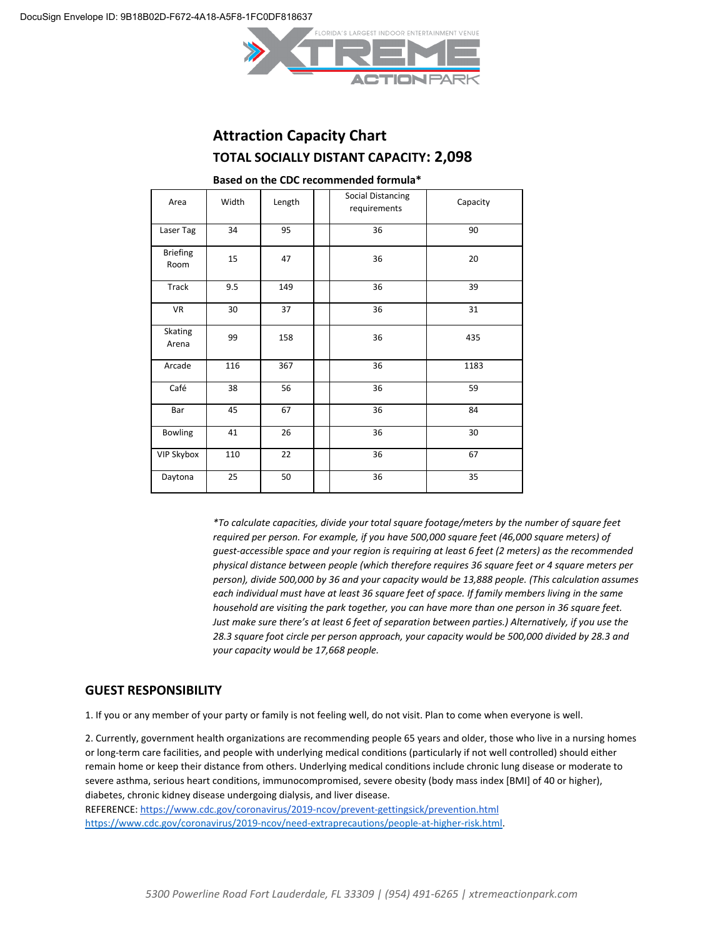

# **Attraction Capacity Chart TOTAL SOCIALLY DISTANT CAPACITY: 2,098**

| Area                    | Width | Length | <b>Social Distancing</b><br>requirements | Capacity |
|-------------------------|-------|--------|------------------------------------------|----------|
| Laser Tag               | 34    | 95     | 36                                       | 90       |
| <b>Briefing</b><br>Room | 15    | 47     | 36                                       | 20       |
| Track                   | 9.5   | 149    | 36                                       | 39       |
| <b>VR</b>               | 30    | 37     | 36                                       | 31       |
| Skating<br>Arena        | 99    | 158    | 36                                       | 435      |
| Arcade                  | 116   | 367    | 36                                       | 1183     |
| Café                    | 38    | 56     | 36                                       | 59       |
| Bar                     | 45    | 67     | 36                                       | 84       |
| Bowling                 | 41    | 26     | 36                                       | 30       |
| <b>VIP Skybox</b>       | 110   | 22     | 36                                       | 67       |
| Daytona                 | 25    | 50     | 36                                       | 35       |

#### **Based on the CDC recommended formula\***

*\*To calculate capacities, divide your total square footage/meters by the number of square feet required per person. For example, if you have 500,000 square feet (46,000 square meters) of guest-accessible space and your region is requiring at least 6 feet (2 meters) as the recommended physical distance between people (which therefore requires 36 square feet or 4 square meters per person), divide 500,000 by 36 and your capacity would be 13,888 people. (This calculation assumes each individual must have at least 36 square feet of space. If family members living in the same household are visiting the park together, you can have more than one person in 36 square feet. Just make sure there's at least 6 feet of separation between parties.) Alternatively, if you use the 28.3 square foot circle per person approach, your capacity would be 500,000 divided by 28.3 and your capacity would be 17,668 people.*

#### **GUEST RESPONSIBILITY**

1. If you or any member of your party or family is not feeling well, do not visit. Plan to come when everyone is well.

2. Currently, government health organizations are recommending people 65 years and older, those who live in a nursing homes or long-term care facilities, and people with underlying medical conditions (particularly if not well controlled) should either remain home or keep their distance from others. Underlying medical conditions include chronic lung disease or moderate to severe asthma, serious heart conditions, immunocompromised, severe obesity (body mass index [BMI] of 40 or higher), diabetes, chronic kidney disease undergoing dialysis, and liver disease.

REFERENCE:<https://www.cdc.gov/coronavirus/2019-ncov/prevent-gettingsick/prevention.html> <https://www.cdc.gov/coronavirus/2019-ncov/need-extraprecautions/people-at-higher-risk.html>.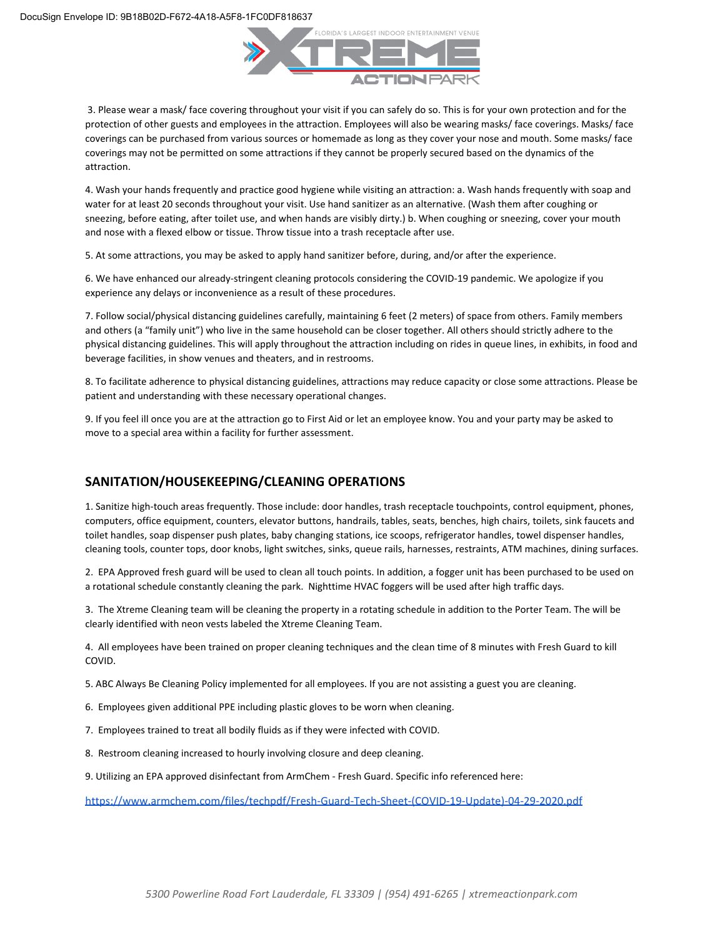

 3. Please wear a mask/ face covering throughout your visit if you can safely do so. This is for your own protection and for the protection of other guests and employees in the attraction. Employees will also be wearing masks/ face coverings. Masks/ face coverings can be purchased from various sources or homemade as long as they cover your nose and mouth. Some masks/ face coverings may not be permitted on some attractions if they cannot be properly secured based on the dynamics of the attraction.

4. Wash your hands frequently and practice good hygiene while visiting an attraction: a. Wash hands frequently with soap and water for at least 20 seconds throughout your visit. Use hand sanitizer as an alternative. (Wash them after coughing or sneezing, before eating, after toilet use, and when hands are visibly dirty.) b. When coughing or sneezing, cover your mouth and nose with a flexed elbow or tissue. Throw tissue into a trash receptacle after use.

5. At some attractions, you may be asked to apply hand sanitizer before, during, and/or after the experience.

6. We have enhanced our already-stringent cleaning protocols considering the COVID-19 pandemic. We apologize if you experience any delays or inconvenience as a result of these procedures.

7. Follow social/physical distancing guidelines carefully, maintaining 6 feet (2 meters) of space from others. Family members and others (a "family unit") who live in the same household can be closer together. All others should strictly adhere to the physical distancing guidelines. This will apply throughout the attraction including on rides in queue lines, in exhibits, in food and beverage facilities, in show venues and theaters, and in restrooms.

8. To facilitate adherence to physical distancing guidelines, attractions may reduce capacity or close some attractions. Please be patient and understanding with these necessary operational changes.

9. If you feel ill once you are at the attraction go to First Aid or let an employee know. You and your party may be asked to move to a special area within a facility for further assessment.

#### **SANITATION/HOUSEKEEPING/CLEANING OPERATIONS**

1. Sanitize high-touch areas frequently. Those include: door handles, trash receptacle touchpoints, control equipment, phones, computers, office equipment, counters, elevator buttons, handrails, tables, seats, benches, high chairs, toilets, sink faucets and toilet handles, soap dispenser push plates, baby changing stations, ice scoops, refrigerator handles, towel dispenser handles, cleaning tools, counter tops, door knobs, light switches, sinks, queue rails, harnesses, restraints, ATM machines, dining surfaces.

2. EPA Approved fresh guard will be used to clean all touch points. In addition, a fogger unit has been purchased to be used on a rotational schedule constantly cleaning the park. Nighttime HVAC foggers will be used after high traffic days.

3. The Xtreme Cleaning team will be cleaning the property in a rotating schedule in addition to the Porter Team. The will be clearly identified with neon vests labeled the Xtreme Cleaning Team.

4. All employees have been trained on proper cleaning techniques and the clean time of 8 minutes with Fresh Guard to kill COVID.

5. ABC Always Be Cleaning Policy implemented for all employees. If you are not assisting a guest you are cleaning.

- 6. Employees given additional PPE including plastic gloves to be worn when cleaning.
- 7. Employees trained to treat all bodily fluids as if they were infected with COVID.
- 8. Restroom cleaning increased to hourly involving closure and deep cleaning.
- 9. Utilizing an EPA approved disinfectant from ArmChem Fresh Guard. Specific info referenced here:

[https://www.armchem.com/files/techpdf/Fresh-Guard-Tech-Sheet-\(COVID-19-Update\)-04-29-2020.pdf](https://www.armchem.com/files/techpdf/Fresh-Guard-Tech-Sheet-(COVID-19-Update)-04-29-2020.pdf)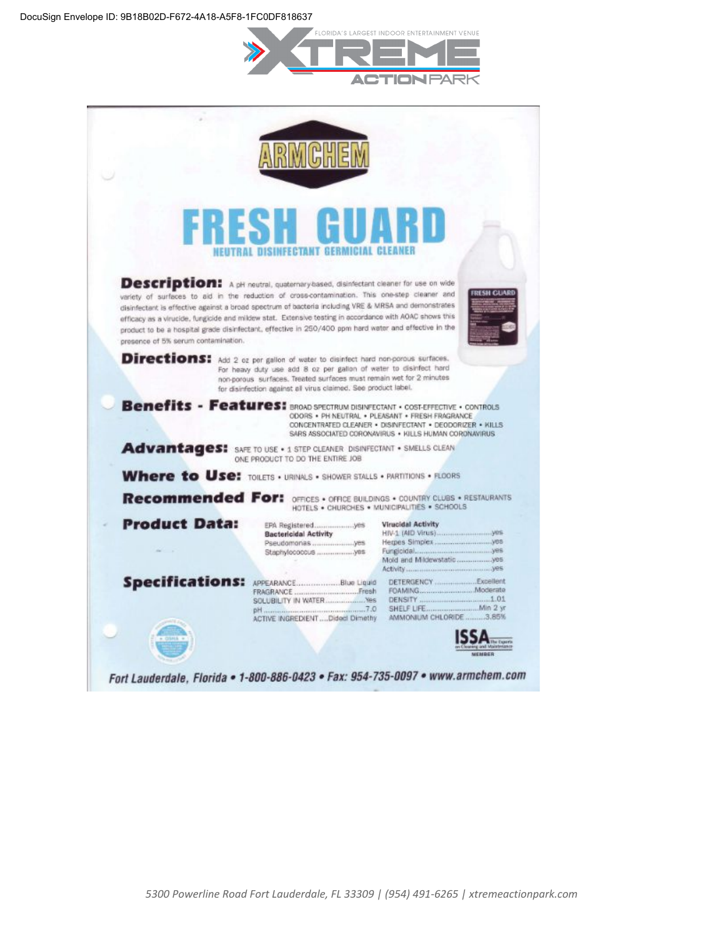

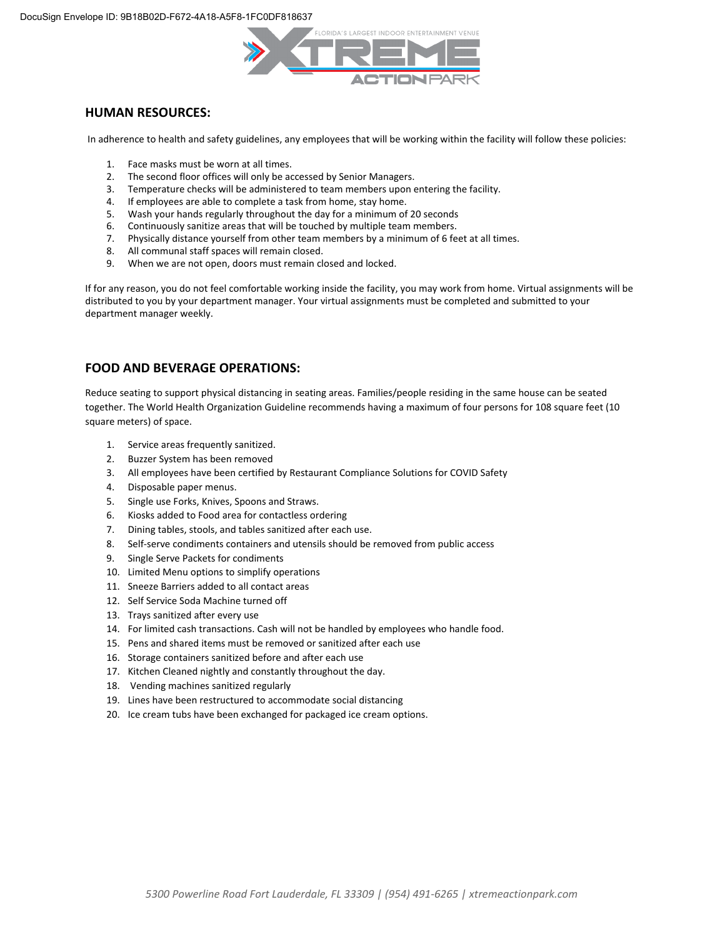

#### **HUMAN RESOURCES:**

In adherence to health and safety guidelines, any employees that will be working within the facility will follow these policies:

- 1. Face masks must be worn at all times.
- 2. The second floor offices will only be accessed by Senior Managers.
- 3. Temperature checks will be administered to team members upon entering the facility.
- 4. If employees are able to complete a task from home, stay home.
- 5. Wash your hands regularly throughout the day for a minimum of 20 seconds
- 6. Continuously sanitize areas that will be touched by multiple team members.
- 7. Physically distance yourself from other team members by a minimum of 6 feet at all times.
- 8. All communal staff spaces will remain closed.
- 9. When we are not open, doors must remain closed and locked.

If for any reason, you do not feel comfortable working inside the facility, you may work from home. Virtual assignments will be distributed to you by your department manager. Your virtual assignments must be completed and submitted to your department manager weekly.

### **FOOD AND BEVERAGE OPERATIONS:**

Reduce seating to support physical distancing in seating areas. Families/people residing in the same house can be seated together. The World Health Organization Guideline recommends having a maximum of four persons for 108 square feet (10 square meters) of space.

- 1. Service areas frequently sanitized.
- 2. Buzzer System has been removed
- 3. All employees have been certified by Restaurant Compliance Solutions for COVID Safety
- 4. Disposable paper menus.
- 5. Single use Forks, Knives, Spoons and Straws.
- 6. Kiosks added to Food area for contactless ordering
- 7. Dining tables, stools, and tables sanitized after each use.
- 8. Self-serve condiments containers and utensils should be removed from public access
- 9. Single Serve Packets for condiments
- 10. Limited Menu options to simplify operations
- 11. Sneeze Barriers added to all contact areas
- 12. Self Service Soda Machine turned off
- 13. Trays sanitized after every use
- 14. For limited cash transactions. Cash will not be handled by employees who handle food.
- 15. Pens and shared items must be removed or sanitized after each use
- 16. Storage containers sanitized before and after each use
- 17. Kitchen Cleaned nightly and constantly throughout the day.
- 18. Vending machines sanitized regularly
- 19. Lines have been restructured to accommodate social distancing
- 20. Ice cream tubs have been exchanged for packaged ice cream options.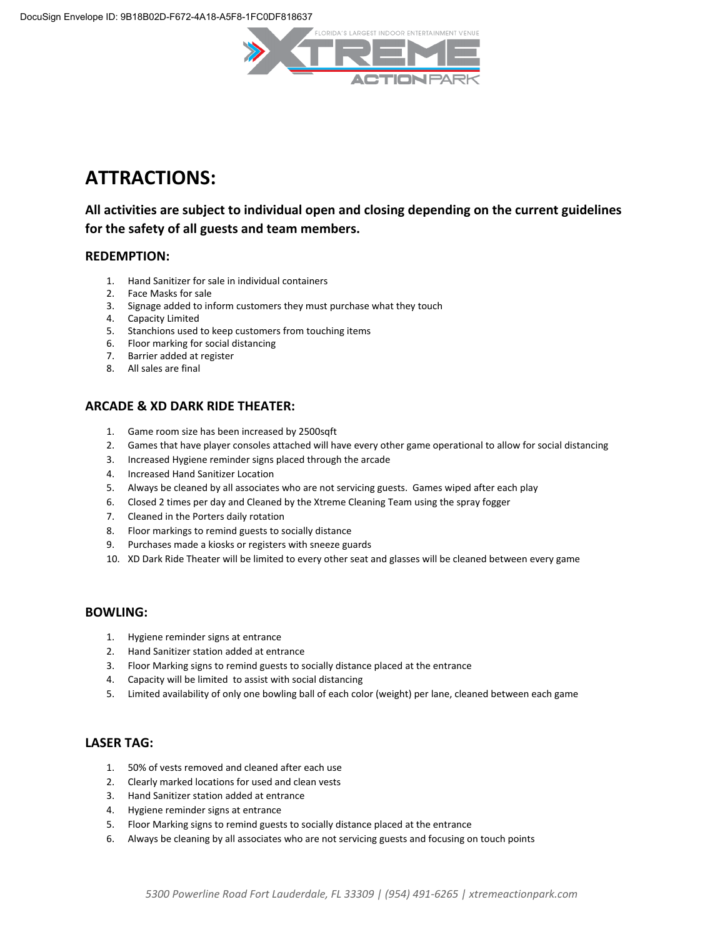

# **ATTRACTIONS:**

# **All activities are subject to individual open and closing depending on the current guidelines for the safety of all guests and team members.**

#### **REDEMPTION:**

- 1. Hand Sanitizer for sale in individual containers
- 2. Face Masks for sale
- 3. Signage added to inform customers they must purchase what they touch
- 4. Capacity Limited
- 5. Stanchions used to keep customers from touching items
- 6. Floor marking for social distancing
- 7. Barrier added at register
- 8. All sales are final

# **ARCADE & XD DARK RIDE THEATER:**

- 1. Game room size has been increased by 2500sqft
- 2. Games that have player consoles attached will have every other game operational to allow for social distancing
- 3. Increased Hygiene reminder signs placed through the arcade
- 4. Increased Hand Sanitizer Location
- 5. Always be cleaned by all associates who are not servicing guests. Games wiped after each play
- 6. Closed 2 times per day and Cleaned by the Xtreme Cleaning Team using the spray fogger
- 7. Cleaned in the Porters daily rotation
- 8. Floor markings to remind guests to socially distance
- 9. Purchases made a kiosks or registers with sneeze guards
- 10. XD Dark Ride Theater will be limited to every other seat and glasses will be cleaned between every game

#### **BOWLING:**

- 1. Hygiene reminder signs at entrance
- 2. Hand Sanitizer station added at entrance
- 3. Floor Marking signs to remind guests to socially distance placed at the entrance
- 4. Capacity will be limited to assist with social distancing
- 5. Limited availability of only one bowling ball of each color (weight) per lane, cleaned between each game

#### **LASER TAG:**

- 1. 50% of vests removed and cleaned after each use
- 2. Clearly marked locations for used and clean vests
- 3. Hand Sanitizer station added at entrance
- 4. Hygiene reminder signs at entrance
- 5. Floor Marking signs to remind guests to socially distance placed at the entrance
- 6. Always be cleaning by all associates who are not servicing guests and focusing on touch points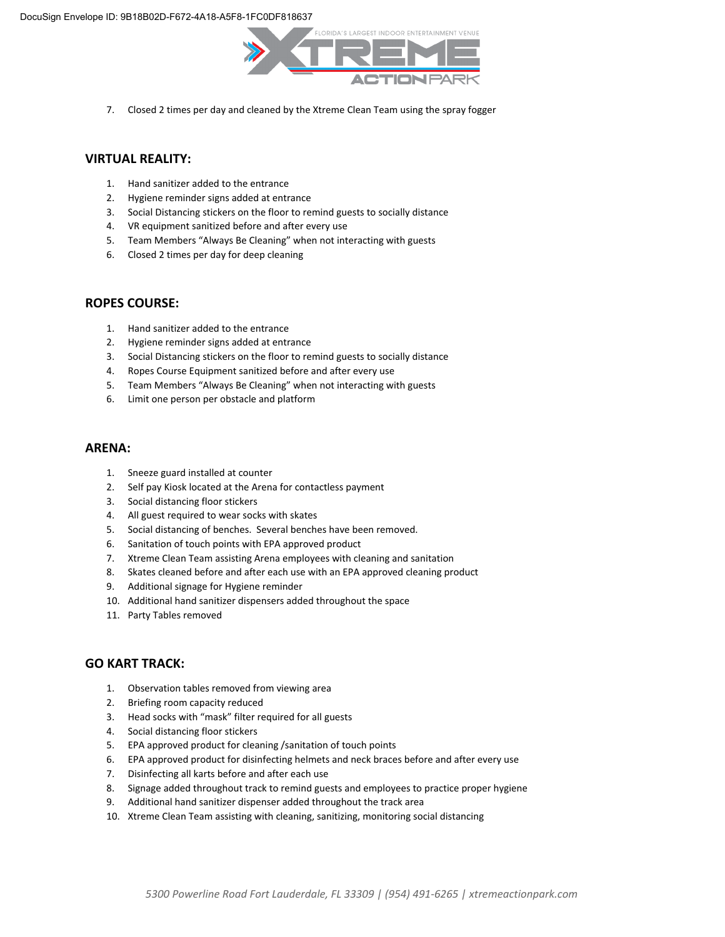

7. Closed 2 times per day and cleaned by the Xtreme Clean Team using the spray fogger

#### **VIRTUAL REALITY:**

- 1. Hand sanitizer added to the entrance
- 2. Hygiene reminder signs added at entrance
- 3. Social Distancing stickers on the floor to remind guests to socially distance
- 4. VR equipment sanitized before and after every use
- 5. Team Members "Always Be Cleaning" when not interacting with guests
- 6. Closed 2 times per day for deep cleaning

#### **ROPES COURSE:**

- 1. Hand sanitizer added to the entrance
- 2. Hygiene reminder signs added at entrance
- 3. Social Distancing stickers on the floor to remind guests to socially distance
- 4. Ropes Course Equipment sanitized before and after every use
- 5. Team Members "Always Be Cleaning" when not interacting with guests
- 6. Limit one person per obstacle and platform

#### **ARENA:**

- 1. Sneeze guard installed at counter
- 2. Self pay Kiosk located at the Arena for contactless payment
- 3. Social distancing floor stickers
- 4. All guest required to wear socks with skates
- 5. Social distancing of benches. Several benches have been removed.
- 6. Sanitation of touch points with EPA approved product
- 7. Xtreme Clean Team assisting Arena employees with cleaning and sanitation
- 8. Skates cleaned before and after each use with an EPA approved cleaning product
- 9. Additional signage for Hygiene reminder
- 10. Additional hand sanitizer dispensers added throughout the space
- 11. Party Tables removed

#### **GO KART TRACK:**

- 1. Observation tables removed from viewing area
- 2. Briefing room capacity reduced
- 3. Head socks with "mask" filter required for all guests
- 4. Social distancing floor stickers
- 5. EPA approved product for cleaning /sanitation of touch points
- 6. EPA approved product for disinfecting helmets and neck braces before and after every use
- 7. Disinfecting all karts before and after each use
- 8. Signage added throughout track to remind guests and employees to practice proper hygiene
- 9. Additional hand sanitizer dispenser added throughout the track area
- 10. Xtreme Clean Team assisting with cleaning, sanitizing, monitoring social distancing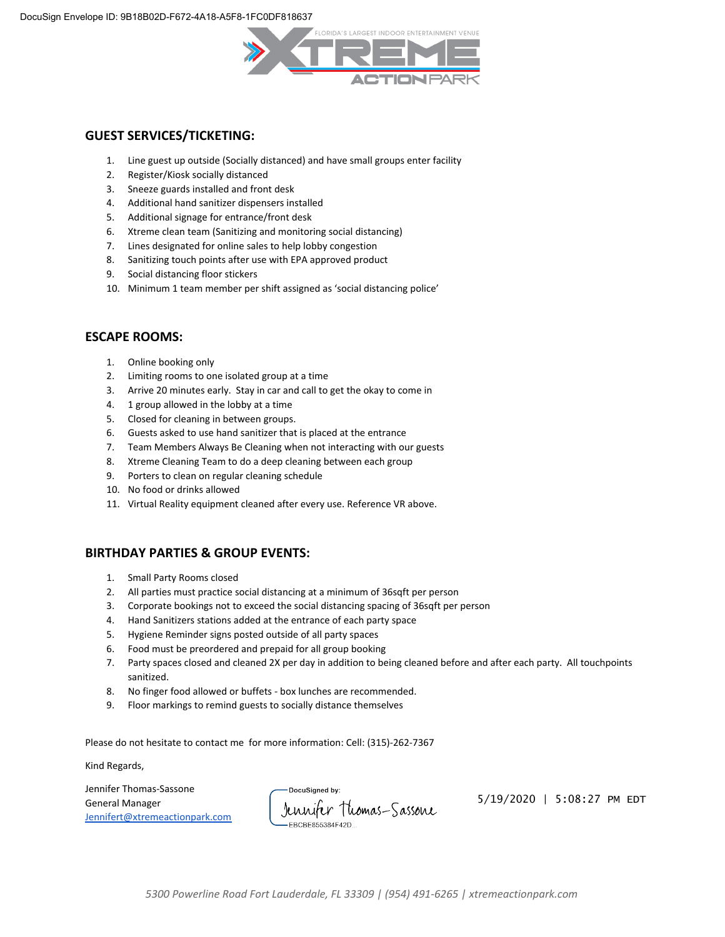

#### **GUEST SERVICES/TICKETING:**

- 1. Line guest up outside (Socially distanced) and have small groups enter facility
- 2. Register/Kiosk socially distanced
- 3. Sneeze guards installed and front desk
- 4. Additional hand sanitizer dispensers installed
- 5. Additional signage for entrance/front desk
- 6. Xtreme clean team (Sanitizing and monitoring social distancing)
- 7. Lines designated for online sales to help lobby congestion
- 8. Sanitizing touch points after use with EPA approved product
- 9. Social distancing floor stickers
- 10. Minimum 1 team member per shift assigned as 'social distancing police'

#### **ESCAPE ROOMS:**

- 1. Online booking only
- 2. Limiting rooms to one isolated group at a time
- 3. Arrive 20 minutes early. Stay in car and call to get the okay to come in
- 4. 1 group allowed in the lobby at a time
- 5. Closed for cleaning in between groups.
- 6. Guests asked to use hand sanitizer that is placed at the entrance
- 7. Team Members Always Be Cleaning when not interacting with our guests
- 8. Xtreme Cleaning Team to do a deep cleaning between each group
- 9. Porters to clean on regular cleaning schedule
- 10. No food or drinks allowed
- 11. Virtual Reality equipment cleaned after every use. Reference VR above.

#### **BIRTHDAY PARTIES & GROUP EVENTS:**

- 1. Small Party Rooms closed
- 2. All parties must practice social distancing at a minimum of 36sqft per person
- 3. Corporate bookings not to exceed the social distancing spacing of 36sqft per person
- 4. Hand Sanitizers stations added at the entrance of each party space
- 5. Hygiene Reminder signs posted outside of all party spaces
- 6. Food must be preordered and prepaid for all group booking
- 7. Party spaces closed and cleaned 2X per day in addition to being cleaned before and after each party. All touchpoints sanitized.
- 8. No finger food allowed or buffets box lunches are recommended.
- 9. Floor markings to remind guests to socially distance themselves

Please do not hesitate to contact me for more information: Cell: (315)-262-7367

Kind Regards,

Jennifer Thomas-Sassone General Manager [Jennifert@xtremeactionpark.com](mailto:Jennifert@xtremeactionpark.com)

DocuSigned by Jennifer Thomas-Sassone FRCRE855384F42D

5/19/2020 | 5:08:27 PM EDT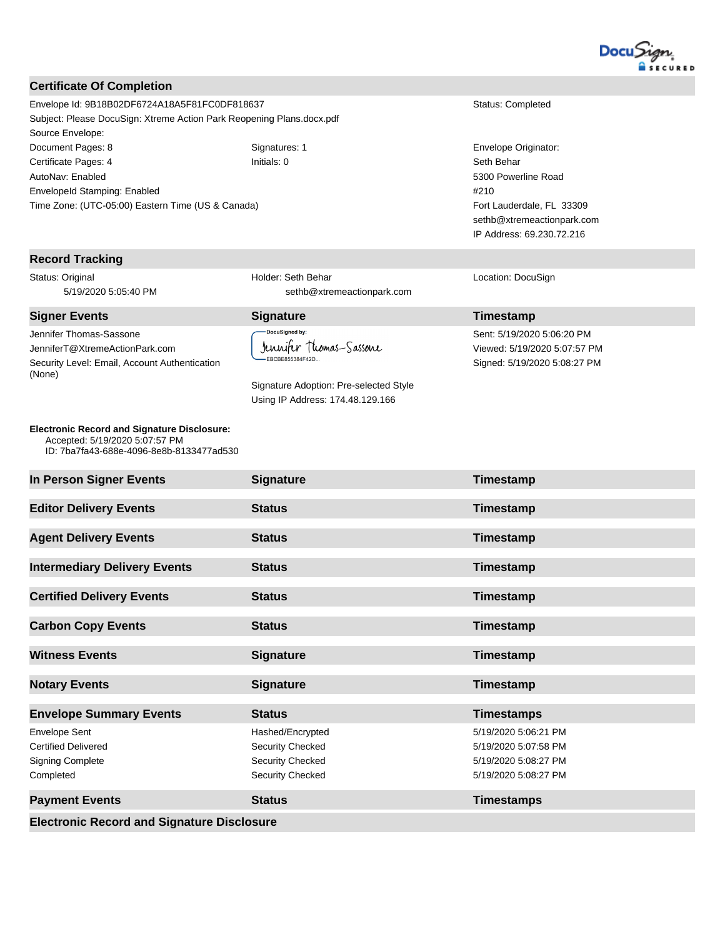

#### **Certificate Of Completion**

Envelope Id: 9B18B02DF6724A18A5F81FC0DF818637 Status: Completed Subject: Please DocuSign: Xtreme Action Park Reopening Plans.docx.pdf Source Envelope: Document Pages: 8 Signatures: 1 Signatures: 1 Envelope Originator: Certificate Pages: 4 **Initials: 0** Initials: 0 **Seth Behar** Seth Behar AutoNav: Enabled EnvelopeId Stamping: Enabled Time Zone: (UTC-05:00) Eastern Time (US & Canada)

#### **Record Tracking**

Status: Original 5/19/2020 5:05:40 PM

**Signer Events Signature CONSISTENTS Signature Timestamp** Jennifer Thomas-Sassone JenniferT@XtremeActionPark.com Security Level: Email, Account Authentication (None)

**Electronic Record and Signature Disclosure:**  Accepted: 5/19/2020 5:07:57 PM ID: 7ba7fa43-688e-4096-8e8b-8133477ad530 Holder: Seth Behar sethb@xtremeactionpark.com

DocuSigned by: Jennifer Thomas-Sassone EBCBE855384F42D..

Signature Adoption: Pre-selected Style Using IP Address: 174.48.129.166

5300 Powerline Road #210 Fort Lauderdale, FL 33309 sethb@xtremeactionpark.com IP Address: 69.230.72.216

Location: DocuSign

Sent: 5/19/2020 5:06:20 PM Viewed: 5/19/2020 5:07:57 PM Signed: 5/19/2020 5:08:27 PM

| <b>Electronic Record and Signature Disclosure</b>                                          |                                                                                            |                                                                                              |  |  |  |
|--------------------------------------------------------------------------------------------|--------------------------------------------------------------------------------------------|----------------------------------------------------------------------------------------------|--|--|--|
| <b>Payment Events</b>                                                                      | <b>Status</b>                                                                              | <b>Timestamps</b>                                                                            |  |  |  |
| <b>Envelope Sent</b><br><b>Certified Delivered</b><br><b>Signing Complete</b><br>Completed | Hashed/Encrypted<br>Security Checked<br><b>Security Checked</b><br><b>Security Checked</b> | 5/19/2020 5:06:21 PM<br>5/19/2020 5:07:58 PM<br>5/19/2020 5:08:27 PM<br>5/19/2020 5:08:27 PM |  |  |  |
| <b>Envelope Summary Events</b>                                                             | <b>Status</b>                                                                              | <b>Timestamps</b>                                                                            |  |  |  |
| <b>Notary Events</b>                                                                       | <b>Signature</b>                                                                           | Timestamp                                                                                    |  |  |  |
| <b>Witness Events</b>                                                                      | <b>Signature</b>                                                                           | Timestamp                                                                                    |  |  |  |
| <b>Carbon Copy Events</b>                                                                  | <b>Status</b>                                                                              | Timestamp                                                                                    |  |  |  |
| <b>Certified Delivery Events</b>                                                           | <b>Status</b>                                                                              | Timestamp                                                                                    |  |  |  |
| <b>Intermediary Delivery Events</b>                                                        | <b>Status</b>                                                                              | Timestamp                                                                                    |  |  |  |
| <b>Agent Delivery Events</b>                                                               | <b>Status</b>                                                                              | Timestamp                                                                                    |  |  |  |
| <b>Editor Delivery Events</b>                                                              | <b>Status</b>                                                                              | Timestamp                                                                                    |  |  |  |
| In Person Signer Events                                                                    | <b>Signature</b>                                                                           | Timestamp                                                                                    |  |  |  |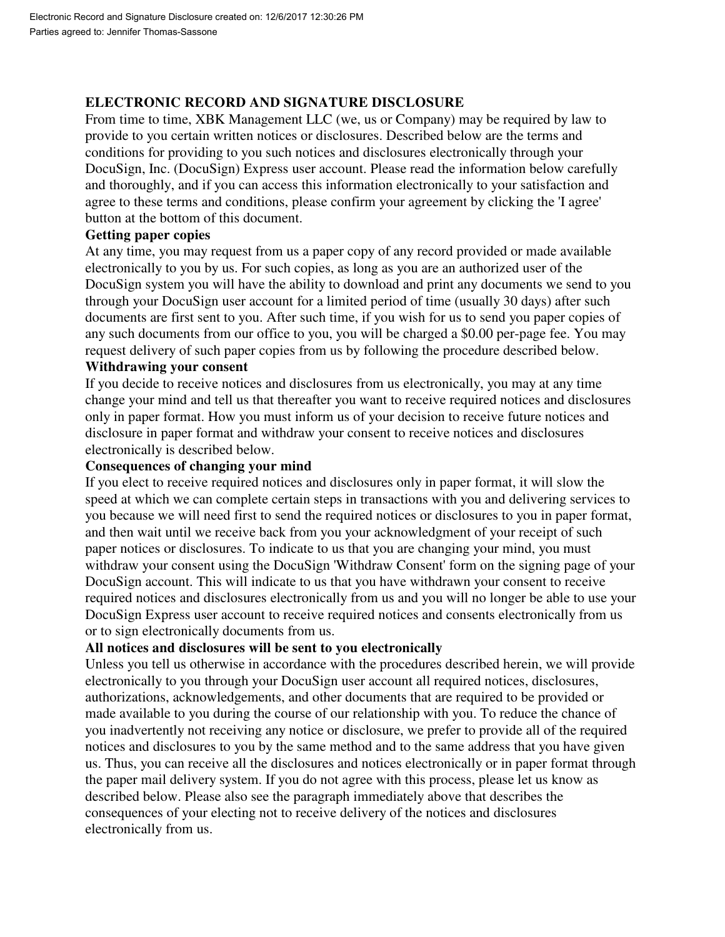# **ELECTRONIC RECORD AND SIGNATURE DISCLOSURE**

From time to time, XBK Management LLC (we, us or Company) may be required by law to provide to you certain written notices or disclosures. Described below are the terms and conditions for providing to you such notices and disclosures electronically through your DocuSign, Inc. (DocuSign) Express user account. Please read the information below carefully and thoroughly, and if you can access this information electronically to your satisfaction and agree to these terms and conditions, please confirm your agreement by clicking the 'I agree' button at the bottom of this document.

# **Getting paper copies**

At any time, you may request from us a paper copy of any record provided or made available electronically to you by us. For such copies, as long as you are an authorized user of the DocuSign system you will have the ability to download and print any documents we send to you through your DocuSign user account for a limited period of time (usually 30 days) after such documents are first sent to you. After such time, if you wish for us to send you paper copies of any such documents from our office to you, you will be charged a \$0.00 per-page fee. You may request delivery of such paper copies from us by following the procedure described below.

# **Withdrawing your consent**

If you decide to receive notices and disclosures from us electronically, you may at any time change your mind and tell us that thereafter you want to receive required notices and disclosures only in paper format. How you must inform us of your decision to receive future notices and disclosure in paper format and withdraw your consent to receive notices and disclosures electronically is described below.

# **Consequences of changing your mind**

If you elect to receive required notices and disclosures only in paper format, it will slow the speed at which we can complete certain steps in transactions with you and delivering services to you because we will need first to send the required notices or disclosures to you in paper format, and then wait until we receive back from you your acknowledgment of your receipt of such paper notices or disclosures. To indicate to us that you are changing your mind, you must withdraw your consent using the DocuSign 'Withdraw Consent' form on the signing page of your DocuSign account. This will indicate to us that you have withdrawn your consent to receive required notices and disclosures electronically from us and you will no longer be able to use your DocuSign Express user account to receive required notices and consents electronically from us or to sign electronically documents from us.

# **All notices and disclosures will be sent to you electronically**

Unless you tell us otherwise in accordance with the procedures described herein, we will provide electronically to you through your DocuSign user account all required notices, disclosures, authorizations, acknowledgements, and other documents that are required to be provided or made available to you during the course of our relationship with you. To reduce the chance of you inadvertently not receiving any notice or disclosure, we prefer to provide all of the required notices and disclosures to you by the same method and to the same address that you have given us. Thus, you can receive all the disclosures and notices electronically or in paper format through the paper mail delivery system. If you do not agree with this process, please let us know as described below. Please also see the paragraph immediately above that describes the consequences of your electing not to receive delivery of the notices and disclosures electronically from us.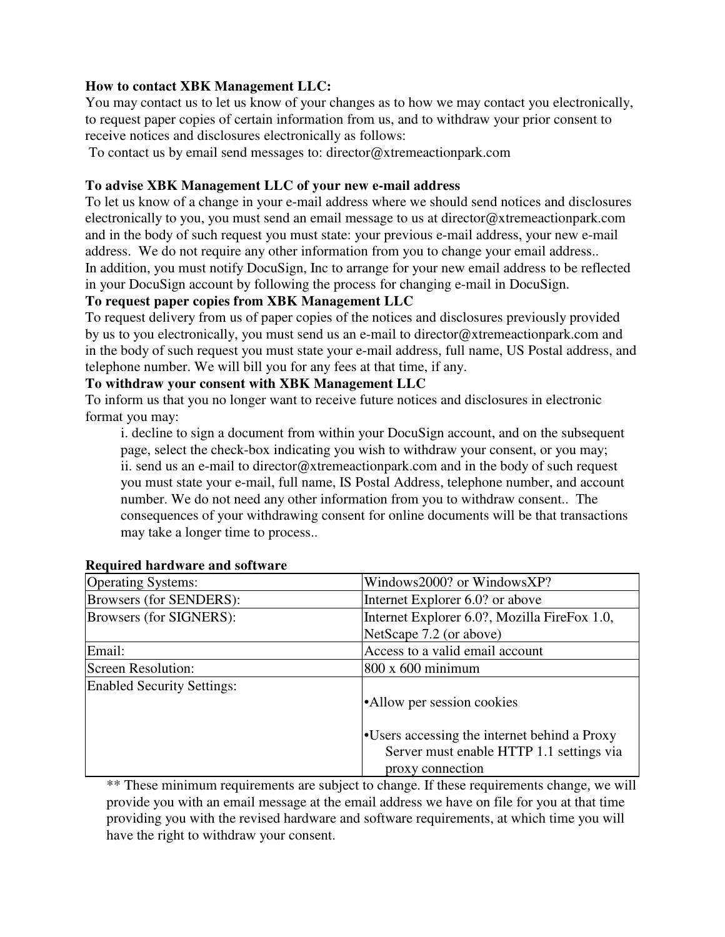# **How to contact XBK Management LLC:**

You may contact us to let us know of your changes as to how we may contact you electronically, to request paper copies of certain information from us, and to withdraw your prior consent to receive notices and disclosures electronically as follows:

To contact us by email send messages to: director@xtremeactionpark.com

# **To advise XBK Management LLC of your new e-mail address**

To let us know of a change in your e-mail address where we should send notices and disclosures electronically to you, you must send an email message to us at director@xtremeactionpark.com and in the body of such request you must state: your previous e-mail address, your new e-mail address. We do not require any other information from you to change your email address.. In addition, you must notify DocuSign, Inc to arrange for your new email address to be reflected in your DocuSign account by following the process for changing e-mail in DocuSign.

# **To request paper copies from XBK Management LLC**

To request delivery from us of paper copies of the notices and disclosures previously provided by us to you electronically, you must send us an e-mail to director@xtremeactionpark.com and in the body of such request you must state your e-mail address, full name, US Postal address, and telephone number. We will bill you for any fees at that time, if any.

# **To withdraw your consent with XBK Management LLC**

To inform us that you no longer want to receive future notices and disclosures in electronic format you may:

i. decline to sign a document from within your DocuSign account, and on the subsequent page, select the check-box indicating you wish to withdraw your consent, or you may; ii. send us an e-mail to director@xtremeactionpark.com and in the body of such request you must state your e-mail, full name, IS Postal Address, telephone number, and account number. We do not need any other information from you to withdraw consent.. The consequences of your withdrawing consent for online documents will be that transactions may take a longer time to process..

| <b>Operating Systems:</b>         | Windows2000? or WindowsXP?                   |  |
|-----------------------------------|----------------------------------------------|--|
| Browsers (for SENDERS):           | Internet Explorer 6.0? or above              |  |
| Browsers (for SIGNERS):           | Internet Explorer 6.0?, Mozilla FireFox 1.0, |  |
|                                   | NetScape 7.2 (or above)                      |  |
| Email:                            | Access to a valid email account              |  |
| <b>Screen Resolution:</b>         | $800 \times 600$ minimum                     |  |
| <b>Enabled Security Settings:</b> |                                              |  |
|                                   | •Allow per session cookies                   |  |
|                                   |                                              |  |
|                                   | •Users accessing the internet behind a Proxy |  |
|                                   | Server must enable HTTP 1.1 settings via     |  |
|                                   | proxy connection                             |  |

# **Required hardware and software**

\*\* These minimum requirements are subject to change. If these requirements change, we will provide you with an email message at the email address we have on file for you at that time providing you with the revised hardware and software requirements, at which time you will have the right to withdraw your consent.